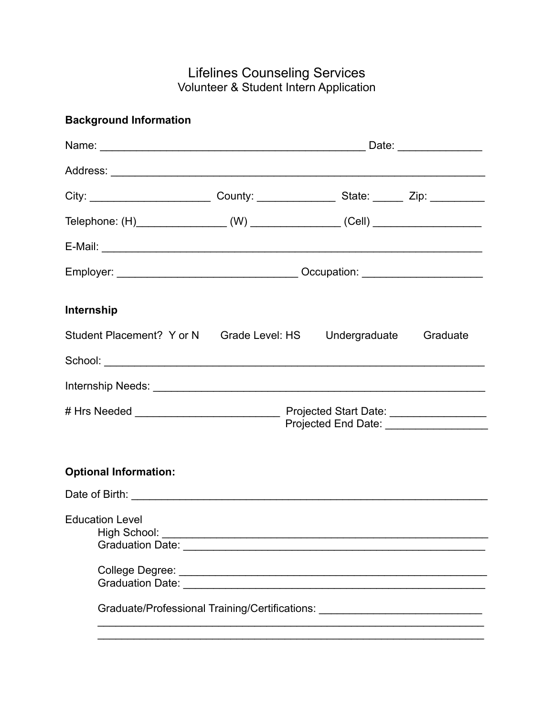## Lifelines Counseling Services Volunteer & Student Intern Application

| <b>Background Information</b>                                                                                                            |  |  |
|------------------------------------------------------------------------------------------------------------------------------------------|--|--|
|                                                                                                                                          |  |  |
|                                                                                                                                          |  |  |
| City: _______________________________County: ______________________State: _________Zip: ____________                                     |  |  |
|                                                                                                                                          |  |  |
|                                                                                                                                          |  |  |
|                                                                                                                                          |  |  |
| Internship                                                                                                                               |  |  |
| Student Placement? Y or N Grade Level: HS Undergraduate Graduate                                                                         |  |  |
|                                                                                                                                          |  |  |
|                                                                                                                                          |  |  |
|                                                                                                                                          |  |  |
| <b>Optional Information:</b>                                                                                                             |  |  |
|                                                                                                                                          |  |  |
| <b>Education Level</b><br>Graduation Date: Cambridge Contract Contract Contract Contract Contract Contract Contract Contract Contract Co |  |  |
|                                                                                                                                          |  |  |
|                                                                                                                                          |  |  |
| Graduate/Professional Training/Certifications: _________________________________                                                         |  |  |
|                                                                                                                                          |  |  |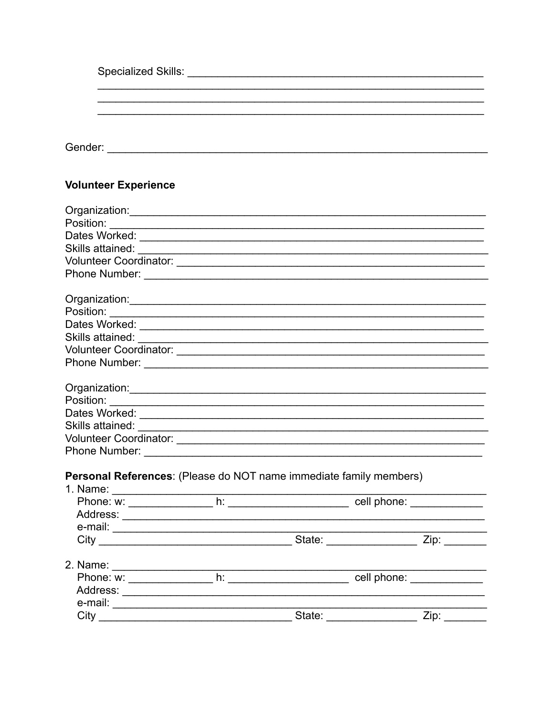| <b>Volunteer Experience</b>                                                                                                                                                                                                           |        |  |
|---------------------------------------------------------------------------------------------------------------------------------------------------------------------------------------------------------------------------------------|--------|--|
|                                                                                                                                                                                                                                       |        |  |
|                                                                                                                                                                                                                                       |        |  |
|                                                                                                                                                                                                                                       |        |  |
|                                                                                                                                                                                                                                       |        |  |
|                                                                                                                                                                                                                                       |        |  |
|                                                                                                                                                                                                                                       |        |  |
|                                                                                                                                                                                                                                       |        |  |
|                                                                                                                                                                                                                                       |        |  |
|                                                                                                                                                                                                                                       |        |  |
|                                                                                                                                                                                                                                       |        |  |
|                                                                                                                                                                                                                                       |        |  |
|                                                                                                                                                                                                                                       |        |  |
|                                                                                                                                                                                                                                       |        |  |
|                                                                                                                                                                                                                                       |        |  |
|                                                                                                                                                                                                                                       |        |  |
| Skills attained:<br><u> and</u> the contract of the contract of the contract of the contract of the contract of the contract of the contract of the contract of the contract of the contract of the contract of the contract of the c |        |  |
|                                                                                                                                                                                                                                       |        |  |
|                                                                                                                                                                                                                                       |        |  |
| Personal References: (Please do NOT name immediate family members)                                                                                                                                                                    |        |  |
|                                                                                                                                                                                                                                       |        |  |
|                                                                                                                                                                                                                                       |        |  |
|                                                                                                                                                                                                                                       |        |  |
| e-mail: $\overline{\phantom{a}}$                                                                                                                                                                                                      |        |  |
| City                                                                                                                                                                                                                                  | State: |  |

| z. Name:  |        |             |
|-----------|--------|-------------|
| Phone: w: |        | cell phone: |
| Address:  |        |             |
| e-mail:   |        |             |
| ``it\     | State: |             |

 $\mathbf{A}$